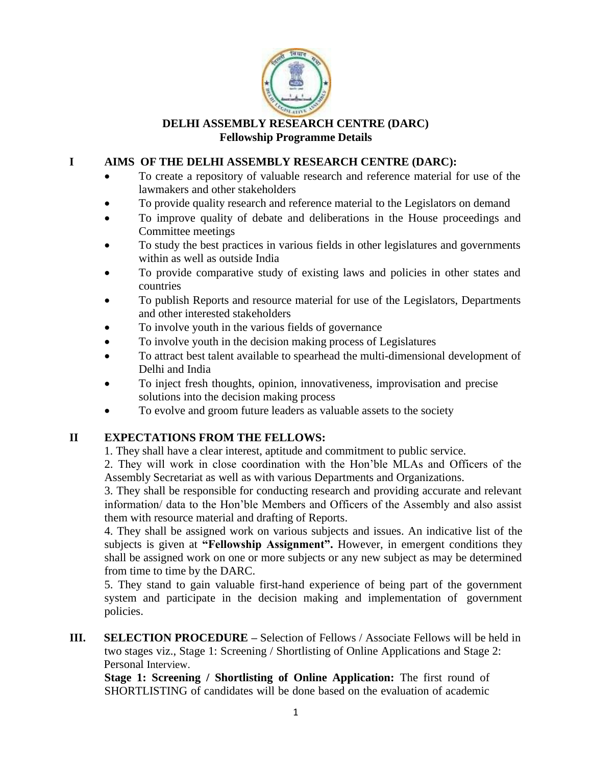

## **DELHI ASSEMBLY RESEARCH CENTRE (DARC) Fellowship Programme Details**

# **I AIMS OF THE DELHI ASSEMBLY RESEARCH CENTRE (DARC):**

- To create a repository of valuable research and reference material for use of the lawmakers and other stakeholders
- To provide quality research and reference material to the Legislators on demand
- To improve quality of debate and deliberations in the House proceedings and Committee meetings
- To study the best practices in various fields in other legislatures and governments within as well as outside India
- To provide comparative study of existing laws and policies in other states and countries
- To publish Reports and resource material for use of the Legislators, Departments and other interested stakeholders
- To involve youth in the various fields of governance
- To involve youth in the decision making process of Legislatures
- To attract best talent available to spearhead the multi-dimensional development of Delhi and India
- To inject fresh thoughts, opinion, innovativeness, improvisation and precise solutions into the decision making process
- To evolve and groom future leaders as valuable assets to the society

# **II EXPECTATIONS FROM THE FELLOWS:**

1. They shall have a clear interest, aptitude and commitment to public service.

2. They will work in close coordination with the Hon'ble MLAs and Officers of the Assembly Secretariat as well as with various Departments and Organizations.

3. They shall be responsible for conducting research and providing accurate and relevant information/ data to the Hon'ble Members and Officers of the Assembly and also assist them with resource material and drafting of Reports.

4. They shall be assigned work on various subjects and issues. An indicative list of the subjects is given at **"Fellowship Assignment".** However, in emergent conditions they shall be assigned work on one or more subjects or any new subject as may be determined from time to time by the DARC.

5. They stand to gain valuable first-hand experience of being part of the government system and participate in the decision making and implementation of government policies.

**III. SELECTION PROCEDURE** – Selection of Fellows / Associate Fellows will be held in two stages viz., Stage 1: Screening / Shortlisting of Online Applications and Stage 2: Personal Interview.

**Stage 1: Screening / Shortlisting of Online Application:** The first round of SHORTLISTING of candidates will be done based on the evaluation of academic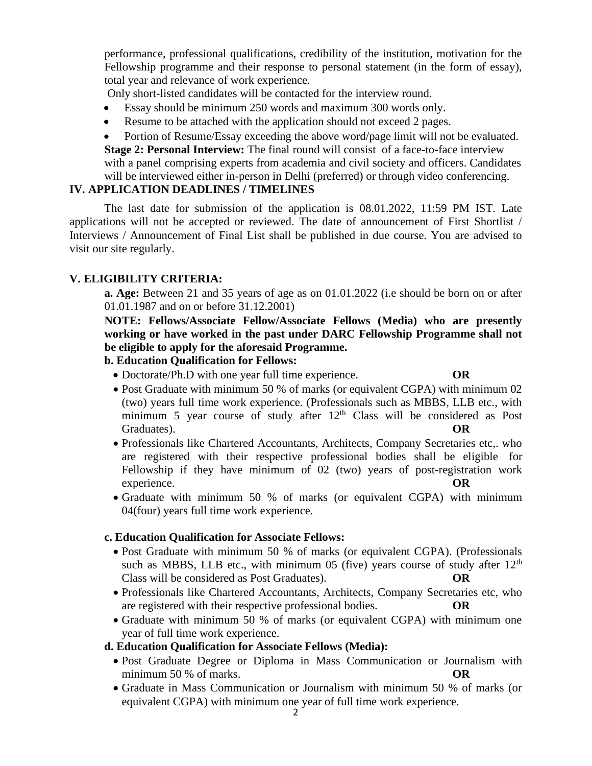performance, professional qualifications, credibility of the institution, motivation for the Fellowship programme and their response to personal statement (in the form of essay), total year and relevance of work experience.

Only short-listed candidates will be contacted for the interview round.

- Essay should be minimum 250 words and maximum 300 words only.
- Resume to be attached with the application should not exceed 2 pages.

• Portion of Resume/Essay exceeding the above word/page limit will not be evaluated. **Stage 2: Personal Interview:** The final round will consist of a face-to-face interview with a panel comprising experts from academia and civil society and officers. Candidates will be interviewed either in-person in Delhi (preferred) or through video conferencing.

# **IV. APPLICATION DEADLINES / TIMELINES**

The last date for submission of the application is 08.01.2022, 11:59 PM IST. Late applications will not be accepted or reviewed. The date of announcement of First Shortlist / Interviews / Announcement of Final List shall be published in due course. You are advised to visit our site regularly.

# **V. ELIGIBILITY CRITERIA:**

**a. Age:** Between 21 and 35 years of age as on 01.01.2022 (i.e should be born on or after 01.01.1987 and on or before 31.12.2001)

**NOTE: Fellows/Associate Fellow/Associate Fellows (Media) who are presently working or have worked in the past under DARC Fellowship Programme shall not be eligible to apply for the aforesaid Programme.** 

## **b. Education Qualification for Fellows:**

- Doctorate/Ph.D with one year full time experience. **OR**
- Post Graduate with minimum 50 % of marks (or equivalent CGPA) with minimum 02 (two) years full time work experience. (Professionals such as MBBS, LLB etc., with minimum 5 year course of study after  $12<sup>th</sup>$  Class will be considered as Post Graduates). **OR**
- Professionals like Chartered Accountants, Architects, Company Secretaries etc,. who are registered with their respective professional bodies shall be eligible for Fellowship if they have minimum of 02 (two) years of post-registration work experience.
- Graduate with minimum 50 % of marks (or equivalent CGPA) with minimum 04(four) years full time work experience.

## **c. Education Qualification for Associate Fellows:**

- Post Graduate with minimum 50 % of marks (or equivalent CGPA). (Professionals such as MBBS, LLB etc., with minimum 05 (five) years course of study after  $12<sup>th</sup>$ Class will be considered as Post Graduates). **OR**
- Professionals like Chartered Accountants, Architects, Company Secretaries etc, who are registered with their respective professional bodies.
- Graduate with minimum 50 % of marks (or equivalent CGPA) with minimum one year of full time work experience.

## **d. Education Qualification for Associate Fellows (Media):**

- Post Graduate Degree or Diploma in Mass Communication or Journalism with minimum 50 % of marks. **OR**
- Graduate in Mass Communication or Journalism with minimum 50 % of marks (or equivalent CGPA) with minimum one year of full time work experience.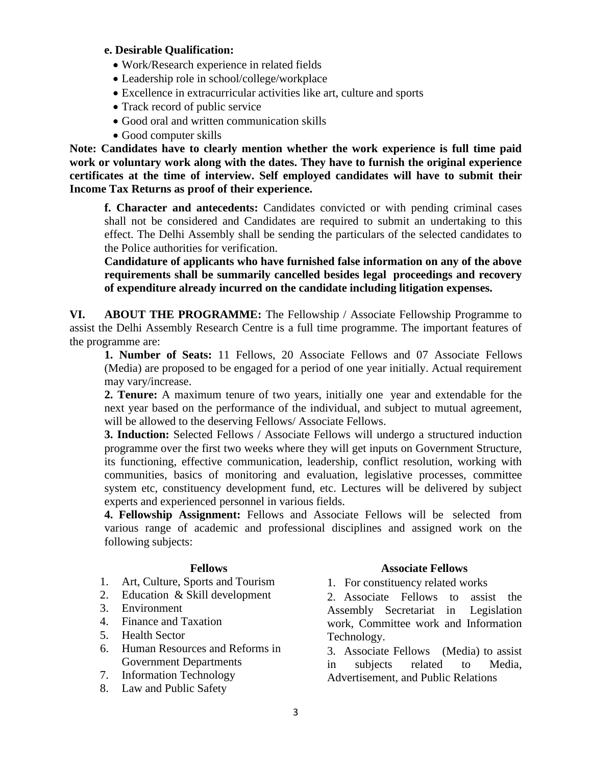## **e. Desirable Qualification:**

- Work/Research experience in related fields
- Leadership role in school/college/workplace
- Excellence in extracurricular activities like art, culture and sports
- Track record of public service
- Good oral and written communication skills
- Good computer skills

**Note: Candidates have to clearly mention whether the work experience is full time paid work or voluntary work along with the dates. They have to furnish the original experience certificates at the time of interview. Self employed candidates will have to submit their Income Tax Returns as proof of their experience.**

**f. Character and antecedents:** Candidates convicted or with pending criminal cases shall not be considered and Candidates are required to submit an undertaking to this effect. The Delhi Assembly shall be sending the particulars of the selected candidates to the Police authorities for verification.

**Candidature of applicants who have furnished false information on any of the above requirements shall be summarily cancelled besides legal proceedings and recovery of expenditure already incurred on the candidate including litigation expenses.**

**VI. ABOUT THE PROGRAMME:** The Fellowship / Associate Fellowship Programme to assist the Delhi Assembly Research Centre is a full time programme. The important features of the programme are:

**1. Number of Seats:** 11 Fellows, 20 Associate Fellows and 07 Associate Fellows (Media) are proposed to be engaged for a period of one year initially. Actual requirement may vary/increase.

**2. Tenure:** A maximum tenure of two years, initially one year and extendable for the next year based on the performance of the individual, and subject to mutual agreement, will be allowed to the deserving Fellows/ Associate Fellows.

**3. Induction:** Selected Fellows / Associate Fellows will undergo a structured induction programme over the first two weeks where they will get inputs on Government Structure, its functioning, effective communication, leadership, conflict resolution, working with communities, basics of monitoring and evaluation, legislative processes, committee system etc, constituency development fund, etc. Lectures will be delivered by subject experts and experienced personnel in various fields.

**4. Fellowship Assignment:** Fellows and Associate Fellows will be selected from various range of academic and professional disciplines and assigned work on the following subjects:

- 1. Art, Culture, Sports and Tourism
- 2. Education & Skill development
- 3. Environment
- 4. Finance and Taxation
- 5. Health Sector
- 6. Human Resources and Reforms in Government Departments
- 7. Information Technology
- 8. Law and Public Safety

### **Fellows Associate Fellows**

1. For constituency related works

2. Associate Fellows to assist the Assembly Secretariat in Legislation work, Committee work and Information Technology.

3. Associate Fellows (Media) to assist in subjects related to Media, Advertisement, and Public Relations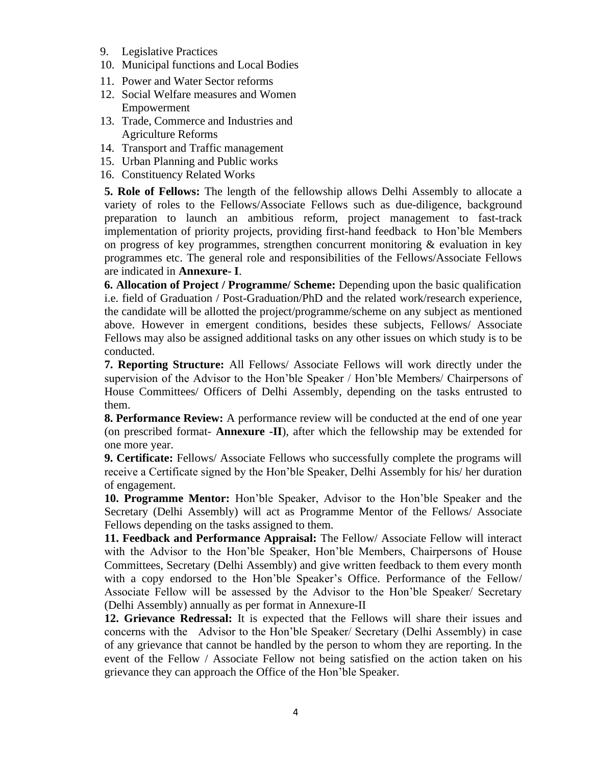- 9. Legislative Practices
- 10. Municipal functions and Local Bodies
- 11. Power and Water Sector reforms
- 12. Social Welfare measures and Women Empowerment
- 13. Trade, Commerce and Industries and Agriculture Reforms
- 14. Transport and Traffic management
- 15. Urban Planning and Public works
- 16. Constituency Related Works

**5. Role of Fellows:** The length of the fellowship allows Delhi Assembly to allocate a variety of roles to the Fellows/Associate Fellows such as due-diligence, background preparation to launch an ambitious reform, project management to fast-track implementation of priority projects, providing first-hand feedback to Hon'ble Members on progress of key programmes, strengthen concurrent monitoring & evaluation in key programmes etc. The general role and responsibilities of the Fellows/Associate Fellows are indicated in **Annexure- I**.

**6. Allocation of Project / Programme/ Scheme:** Depending upon the basic qualification i.e. field of Graduation / Post-Graduation/PhD and the related work/research experience, the candidate will be allotted the project/programme/scheme on any subject as mentioned above. However in emergent conditions, besides these subjects, Fellows/ Associate Fellows may also be assigned additional tasks on any other issues on which study is to be conducted.

**7. Reporting Structure:** All Fellows/ Associate Fellows will work directly under the supervision of the Advisor to the Hon'ble Speaker / Hon'ble Members/ Chairpersons of House Committees/ Officers of Delhi Assembly, depending on the tasks entrusted to them.

**8. Performance Review:** A performance review will be conducted at the end of one year (on prescribed format- **Annexure -II**), after which the fellowship may be extended for one more year.

**9. Certificate:** Fellows/ Associate Fellows who successfully complete the programs will receive a Certificate signed by the Hon'ble Speaker, Delhi Assembly for his/ her duration of engagement.

**10. Programme Mentor:** Hon'ble Speaker, Advisor to the Hon'ble Speaker and the Secretary (Delhi Assembly) will act as Programme Mentor of the Fellows/ Associate Fellows depending on the tasks assigned to them.

**11. Feedback and Performance Appraisal:** The Fellow/ Associate Fellow will interact with the Advisor to the Hon'ble Speaker, Hon'ble Members, Chairpersons of House Committees, Secretary (Delhi Assembly) and give written feedback to them every month with a copy endorsed to the Hon'ble Speaker's Office. Performance of the Fellow/ Associate Fellow will be assessed by the Advisor to the Hon'ble Speaker/ Secretary (Delhi Assembly) annually as per format in Annexure-II

**12. Grievance Redressal:** It is expected that the Fellows will share their issues and concerns with the Advisor to the Hon'ble Speaker/ Secretary (Delhi Assembly) in case of any grievance that cannot be handled by the person to whom they are reporting. In the event of the Fellow / Associate Fellow not being satisfied on the action taken on his grievance they can approach the Office of the Hon'ble Speaker.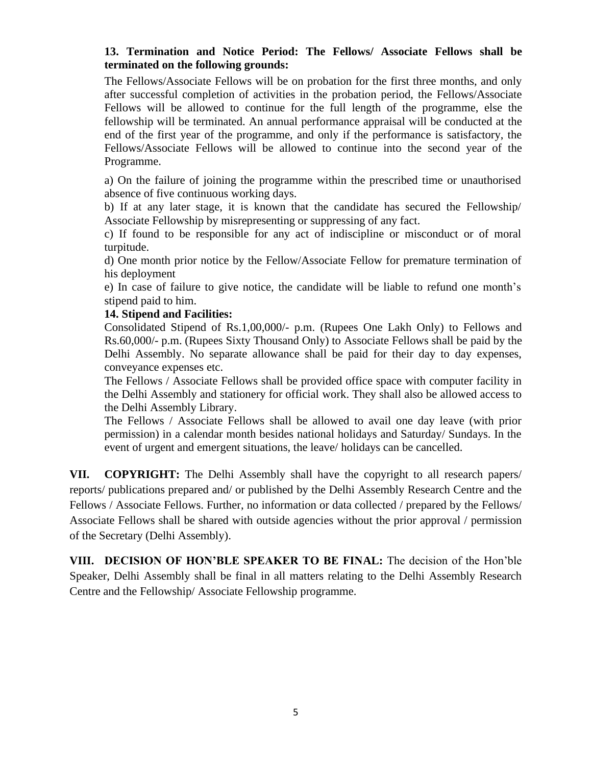# **13. Termination and Notice Period: The Fellows/ Associate Fellows shall be terminated on the following grounds:**

The Fellows/Associate Fellows will be on probation for the first three months, and only after successful completion of activities in the probation period, the Fellows/Associate Fellows will be allowed to continue for the full length of the programme, else the fellowship will be terminated. An annual performance appraisal will be conducted at the end of the first year of the programme, and only if the performance is satisfactory, the Fellows/Associate Fellows will be allowed to continue into the second year of the Programme.

a) On the failure of joining the programme within the prescribed time or unauthorised absence of five continuous working days.

b) If at any later stage, it is known that the candidate has secured the Fellowship/ Associate Fellowship by misrepresenting or suppressing of any fact.

c) If found to be responsible for any act of indiscipline or misconduct or of moral turpitude.

d) One month prior notice by the Fellow/Associate Fellow for premature termination of his deployment

e) In case of failure to give notice, the candidate will be liable to refund one month's stipend paid to him.

## **14. Stipend and Facilities:**

Consolidated Stipend of Rs.1,00,000/- p.m. (Rupees One Lakh Only) to Fellows and Rs.60,000/- p.m. (Rupees Sixty Thousand Only) to Associate Fellows shall be paid by the Delhi Assembly. No separate allowance shall be paid for their day to day expenses, conveyance expenses etc.

The Fellows / Associate Fellows shall be provided office space with computer facility in the Delhi Assembly and stationery for official work. They shall also be allowed access to the Delhi Assembly Library.

The Fellows / Associate Fellows shall be allowed to avail one day leave (with prior permission) in a calendar month besides national holidays and Saturday/ Sundays. In the event of urgent and emergent situations, the leave/ holidays can be cancelled.

**VII. COPYRIGHT:** The Delhi Assembly shall have the copyright to all research papers/ reports/ publications prepared and/ or published by the Delhi Assembly Research Centre and the Fellows / Associate Fellows. Further, no information or data collected / prepared by the Fellows/ Associate Fellows shall be shared with outside agencies without the prior approval / permission of the Secretary (Delhi Assembly).

**VIII. DECISION OF HON'BLE SPEAKER TO BE FINAL:** The decision of the Hon'ble Speaker, Delhi Assembly shall be final in all matters relating to the Delhi Assembly Research Centre and the Fellowship/ Associate Fellowship programme.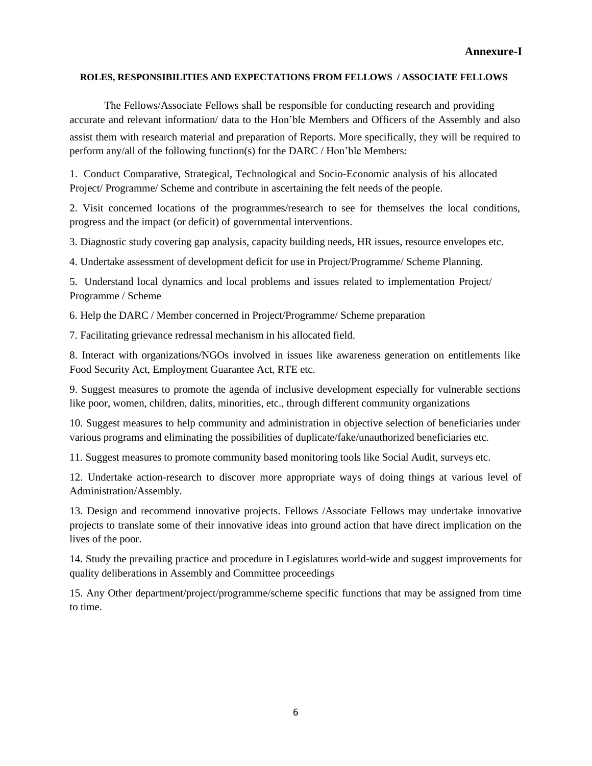#### **ROLES, RESPONSIBILITIES AND EXPECTATIONS FROM FELLOWS / ASSOCIATE FELLOWS**

The Fellows/Associate Fellows shall be responsible for conducting research and providing accurate and relevant information/ data to the Hon'ble Members and Officers of the Assembly and also assist them with research material and preparation of Reports. More specifically, they will be required to perform any/all of the following function(s) for the DARC / Hon'ble Members:

1. Conduct Comparative, Strategical, Technological and Socio-Economic analysis of his allocated Project/ Programme/ Scheme and contribute in ascertaining the felt needs of the people.

2. Visit concerned locations of the programmes/research to see for themselves the local conditions, progress and the impact (or deficit) of governmental interventions.

3. Diagnostic study covering gap analysis, capacity building needs, HR issues, resource envelopes etc.

4. Undertake assessment of development deficit for use in Project/Programme/ Scheme Planning.

5. Understand local dynamics and local problems and issues related to implementation Project/ Programme / Scheme

6. Help the DARC / Member concerned in Project/Programme/ Scheme preparation

7. Facilitating grievance redressal mechanism in his allocated field.

8. Interact with organizations/NGOs involved in issues like awareness generation on entitlements like Food Security Act, Employment Guarantee Act, RTE etc.

9. Suggest measures to promote the agenda of inclusive development especially for vulnerable sections like poor, women, children, dalits, minorities, etc., through different community organizations

10. Suggest measures to help community and administration in objective selection of beneficiaries under various programs and eliminating the possibilities of duplicate/fake/unauthorized beneficiaries etc.

11. Suggest measures to promote community based monitoring tools like Social Audit, surveys etc.

12. Undertake action-research to discover more appropriate ways of doing things at various level of Administration/Assembly.

13. Design and recommend innovative projects. Fellows /Associate Fellows may undertake innovative projects to translate some of their innovative ideas into ground action that have direct implication on the lives of the poor.

14. Study the prevailing practice and procedure in Legislatures world-wide and suggest improvements for quality deliberations in Assembly and Committee proceedings

15. Any Other department/project/programme/scheme specific functions that may be assigned from time to time.